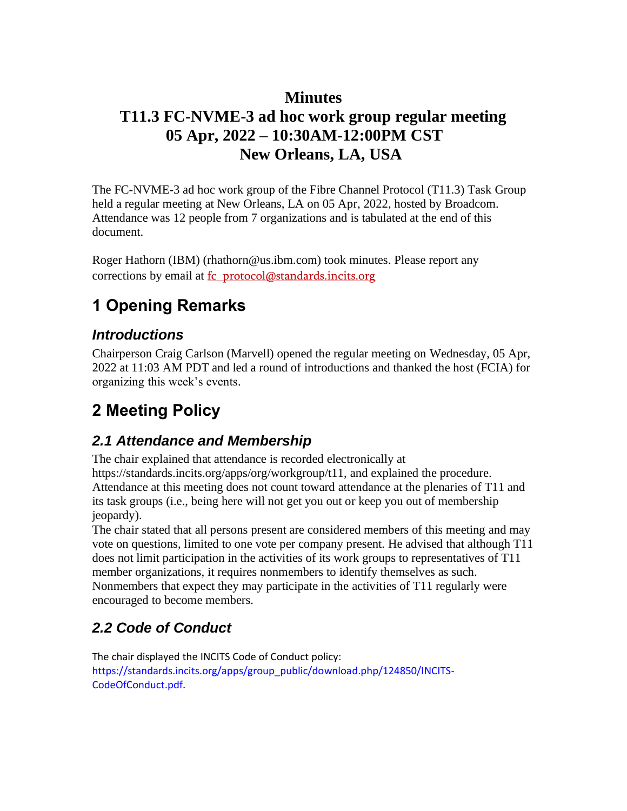## **Minutes**

## **T11.3 FC-NVME-3 ad hoc work group regular meeting 05 Apr, 2022 – 10:30AM-12:00PM CST New Orleans, LA, USA**

The FC-NVME-3 ad hoc work group of the Fibre Channel Protocol (T11.3) Task Group held a regular meeting at New Orleans, LA on 05 Apr, 2022, hosted by Broadcom. Attendance was 12 people from 7 organizations and is tabulated at the end of this document.

Roger Hathorn (IBM) (rhathorn@us.ibm.com) took minutes. Please report any corrections by email at fc\_protocol@standards.incits.org

# **1 Opening Remarks**

### *Introductions*

Chairperson Craig Carlson (Marvell) opened the regular meeting on Wednesday, 05 Apr, 2022 at 11:03 AM PDT and led a round of introductions and thanked the host (FCIA) for organizing this week's events.

# **2 Meeting Policy**

### *2.1 Attendance and Membership*

The chair explained that attendance is recorded electronically at https://standards.incits.org/apps/org/workgroup/t11, and explained the procedure. Attendance at this meeting does not count toward attendance at the plenaries of T11 and its task groups (i.e., being here will not get you out or keep you out of membership jeopardy).

The chair stated that all persons present are considered members of this meeting and may vote on questions, limited to one vote per company present. He advised that although T11 does not limit participation in the activities of its work groups to representatives of T11 member organizations, it requires nonmembers to identify themselves as such. Nonmembers that expect they may participate in the activities of T11 regularly were encouraged to become members.

## *2.2 Code of Conduct*

The chair displayed the INCITS Code of Conduct policy: https://standards.incits.org/apps/group\_public/download.php/124850/INCITS-CodeOfConduct.pdf.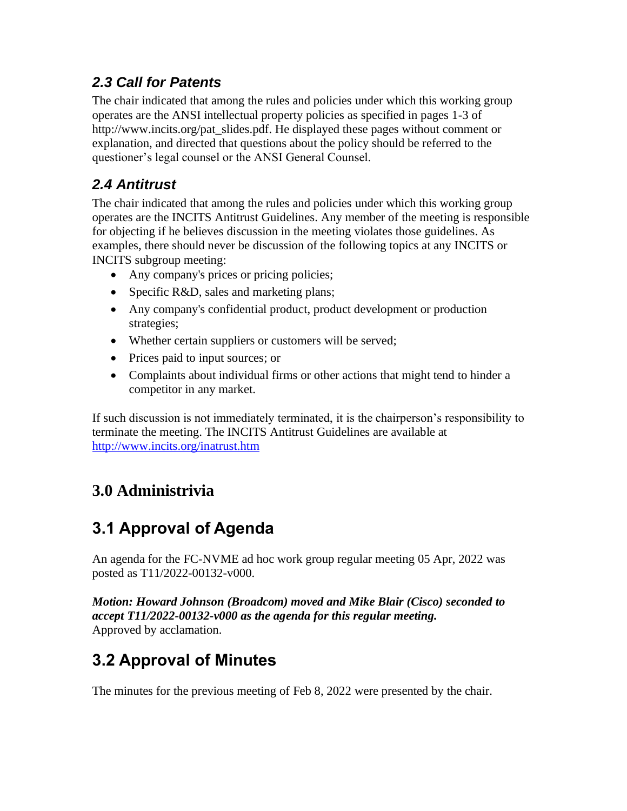## *2.3 Call for Patents*

The chair indicated that among the rules and policies under which this working group operates are the ANSI intellectual property policies as specified in pages 1-3 of http://www.incits.org/pat\_slides.pdf. He displayed these pages without comment or explanation, and directed that questions about the policy should be referred to the questioner's legal counsel or the ANSI General Counsel.

## *2.4 Antitrust*

The chair indicated that among the rules and policies under which this working group operates are the INCITS Antitrust Guidelines. Any member of the meeting is responsible for objecting if he believes discussion in the meeting violates those guidelines. As examples, there should never be discussion of the following topics at any INCITS or INCITS subgroup meeting:

- Any company's prices or pricing policies;
- Specific R&D, sales and marketing plans;
- Any company's confidential product, product development or production strategies;
- Whether certain suppliers or customers will be served;
- Prices paid to input sources; or
- Complaints about individual firms or other actions that might tend to hinder a competitor in any market.

If such discussion is not immediately terminated, it is the chairperson's responsibility to terminate the meeting. The INCITS Antitrust Guidelines are available at <http://www.incits.org/inatrust.htm>

## **3.0 Administrivia**

# **3.1 Approval of Agenda**

An agenda for the FC-NVME ad hoc work group regular meeting 05 Apr, 2022 was posted as T11/2022-00132-v000.

*Motion: Howard Johnson (Broadcom) moved and Mike Blair (Cisco) seconded to accept T11/2022-00132-v000 as the agenda for this regular meeting.*  Approved by acclamation.

# **3.2 Approval of Minutes**

The minutes for the previous meeting of Feb 8, 2022 were presented by the chair.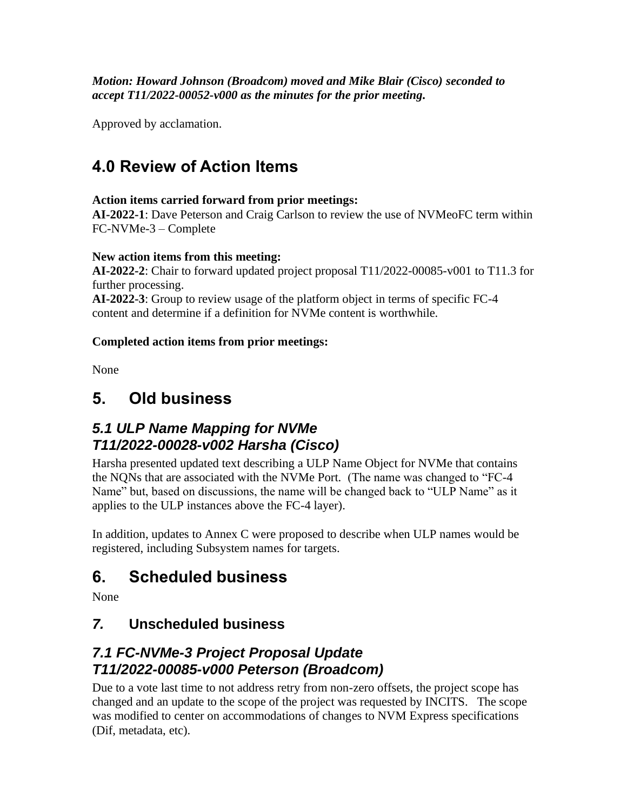*Motion: Howard Johnson (Broadcom) moved and Mike Blair (Cisco) seconded to accept T11/2022-00052-v000 as the minutes for the prior meeting.* 

Approved by acclamation.

# **4.0 Review of Action Items**

#### **Action items carried forward from prior meetings:**

**AI-2022-1**: Dave Peterson and Craig Carlson to review the use of NVMeoFC term within FC-NVMe-3 – Complete

#### **New action items from this meeting:**

**AI-2022-2**: Chair to forward updated project proposal T11/2022-00085-v001 to T11.3 for further processing.

**AI-2022-3**: Group to review usage of the platform object in terms of specific FC-4 content and determine if a definition for NVMe content is worthwhile.

#### **Completed action items from prior meetings:**

None

## **5. Old business**

### *5.1 ULP Name Mapping for NVMe T11/2022-00028-v002 Harsha (Cisco)*

Harsha presented updated text describing a ULP Name Object for NVMe that contains the NQNs that are associated with the NVMe Port. (The name was changed to "FC-4 Name" but, based on discussions, the name will be changed back to "ULP Name" as it applies to the ULP instances above the FC-4 layer).

In addition, updates to Annex C were proposed to describe when ULP names would be registered, including Subsystem names for targets.

## **6. Scheduled business**

None

### *7.* **Unscheduled business**

### *7.1 FC-NVMe-3 Project Proposal Update T11/2022-00085-v000 Peterson (Broadcom)*

Due to a vote last time to not address retry from non-zero offsets, the project scope has changed and an update to the scope of the project was requested by INCITS. The scope was modified to center on accommodations of changes to NVM Express specifications (Dif, metadata, etc).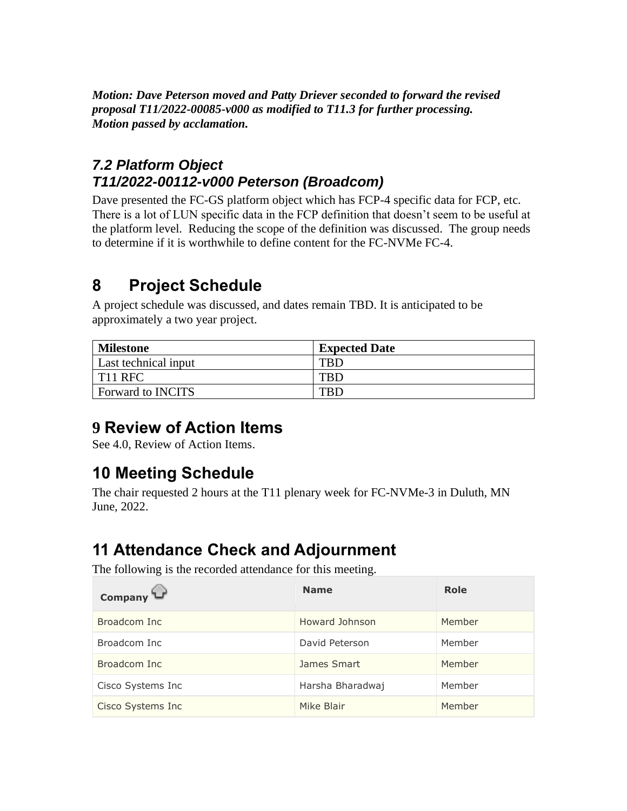*Motion: Dave Peterson moved and Patty Driever seconded to forward the revised proposal T11/2022-00085-v000 as modified to T11.3 for further processing. Motion passed by acclamation.* 

## *7.2 Platform Object T11/2022-00112-v000 Peterson (Broadcom)*

Dave presented the FC-GS platform object which has FCP-4 specific data for FCP, etc. There is a lot of LUN specific data in the FCP definition that doesn't seem to be useful at the platform level. Reducing the scope of the definition was discussed. The group needs to determine if it is worthwhile to define content for the FC-NVMe FC-4.

# **8 Project Schedule**

A project schedule was discussed, and dates remain TBD. It is anticipated to be approximately a two year project.

| <b>Milestone</b>         | <b>Expected Date</b> |
|--------------------------|----------------------|
| Last technical input     |                      |
| I T11 RFC                |                      |
| <b>Forward to INCITS</b> |                      |

# **9 Review of Action Items**

See 4.0, Review of Action Items.

## **10 Meeting Schedule**

The chair requested 2 hours at the T11 plenary week for FC-NVMe-3 in Duluth, MN June, 2022.

## **11 Attendance Check and Adjournment**

The following is the recorded attendance for this meeting.

| Company           | <b>Name</b>      | Role   |
|-------------------|------------------|--------|
| Broadcom Inc      | Howard Johnson   | Member |
| Broadcom Inc      | David Peterson   | Member |
| Broadcom Inc      | James Smart      | Member |
| Cisco Systems Inc | Harsha Bharadwaj | Member |
| Cisco Systems Inc | Mike Blair       | Member |